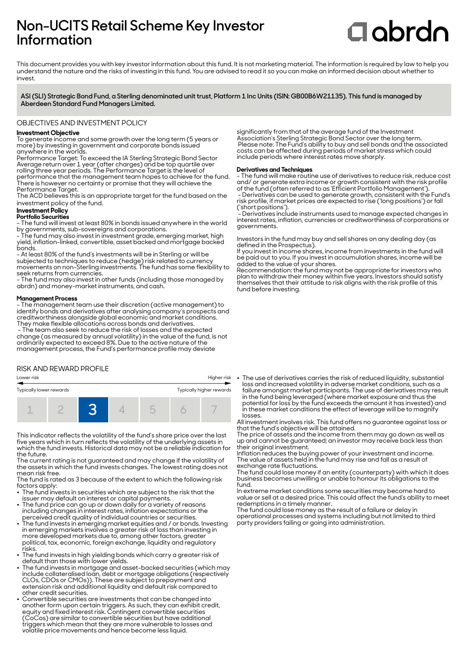# **Non-UCITS Retail Scheme Key Investor Information**

# **Clobrdn**

This document provides you with key investor information about this fund. It is not marketing material. The information is required by law to help you understand the nature and the risks of investing in this fund. You are advised to read it so you can make an informed decision about whether to invest

**ASI (SLI) Strategic Bond Fund, a Sterling denominated unit trust, Platform 1 Inc Units (ISIN: GB00B6W21135). This fund is managed by Aberdeen Standard Fund Managers Limited.**

### OBJECTIVES AND INVESTMENT POLICY

#### **Investment Objective**

To generate income and some growth over the long term (5 years or more) by investing in government and corporate bonds issued anywhere in the worlds.

Performance Target: To exceed the IA Sterling Strategic Bond Sector Average return over 1 year (after charges) and be top quartile over rolling three year periods. The Performance Target is the level of performance that the management team hopes to achieve for the fund. There is however no certainty or promise that they will achieve the Performance Target.

The ACD believes this is an appropriate target for the fund based on the investment policy of the fund.

# **Investment Policy**

**Portfolio Securities** - The fund will invest at least 80% in bonds issued anywhere in the world

by governments, sub-sovereigns and corporations. - The fund may also invest in investment grade, emerging market, high

yield, inflation-linked, convertible, asset backed and mortgage backed bonds. - At least 80% of the fund's investments will be in Sterling or will be

subjected to techniques to reduce (hedge) risk related to currency movements on non-Sterling investments. The fund has some flexibility to seek returns from currencies.

- The fund may also invest in other funds (including those managed by abrdn) and money-market instruments, and cash.

#### **Management Process**

. .**...............................**<br>- The management team use their discretion (active management) to identify bonds and derivatives after analysing company's prospects and creditworthiness alongside global economic and market conditions. They make flexible allocations across bonds and derivatives.

 - The team also seek to reduce the risk of losses and the expected change (as measured by annual volatility) in the value of the fund, is not ordinarily expected to exceed 8%. Due to the active nature of the management process, the Fund's performance profile may deviate

#### RISK AND REWARD PROFILE



This indicator reflects the volatility of the fund's share price over the last five years which in turn reflects the volatility of the underlying assets in which the fund invests. Historical data may not be a reliable indication for the future.

The current rating is not guaranteed and may change if the volatility of the assets in which the fund invests changes. The lowest rating does not mean risk free.

The fund is rated as 3 because of the extent to which the following risk factors apply:

- The fund invests in securities which are subject to the risk that the
- issuer may default on interest or capital payments. 2 The fund price can go up or down daily for a variety of reasons including changes in interest rates, inflation expectations or the
- perceived credit quality of individual countries or securities. 2 The fund invests in emerging market equities and / or bonds. Investing in emerging markets involves a greater risk of loss than investing in more developed markets due to, among other factors, greater political, tax, economic, foreign exchange, liquidity and regulatory risks.
- The fund invests in high yielding bonds which carry a greater risk of default than those with lower yields. 2 The fund invests in mortgage and asset-backed securities (which may
- include collateralised loan, debt or mortgage obligations (respectively CLOs, CDOs or CMOs)). These are subject to prepayment and extension risk and additional liquidity and default risk compared to other credit securities.
- 2 Convertible securities are investments that can be changed into another form upon certain triggers. As such, they can exhibit credit, equity and fixed interest risk. Contingent convertible securities (CoCos) are similar to convertible securities but have additional triggers which mean that they are more vulnerable to losses and volatile price movements and hence become less liquid.

significantly from that of the average fund of the Investment Association's Sterling Strategic Bond Sector over the long term. Please note: The Fund's ability to buy and sell bonds and the associated costs can be affected during periods of market stress which could include periods where interest rates move sharply.

#### **Derivatives and Techniques**

- The fund will make routine use of derivatives to reduce risk, reduce cost and/ or generate extra income or growth consistent with the risk profile of the fund (often referred to as 'Efficient Portfolio Management').

 - Derivatives can be used to generate growth, consistent with the Fund's risk profile, if market prices are expected to rise ('long positions') or fall ('short positions').

 - Derivatives include instruments used to manage expected changes in interest rates, inflation, currencies or creditworthiness of corporations or governments.

Investors in the fund may buy and sell shares on any dealing day (as defined in the Prospectus).

If you invest in income shares, income from investments in the fund will be paid out to you. If you invest in accumulation shares, income will be added to the value of your shares.

Recommendation: the fund may not be appropriate for investors who plan to withdraw their money within five years. Investors should satisfy themselves that their attitude to risk aligns with the risk profile of this fund before investing.

The use of derivatives carries the risk of reduced liquidity, substantial loss and increased volatility in adverse market conditions, such as a failure amongst market participants. The use of derivatives may result in the fund being leveraged (where market exposure and thus the potential for loss by the fund exceeds the amount it has invested) and in these market conditions the effect of leverage will be to magnify losses.

All investment involves risk. This fund offers no guarantee against loss or that the fund's objective will be attained.

The price of assets and the income from them may go down as well as up and cannot be guaranteed; an investor may receive back less than their original investment.

Inflation reduces the buying power of your investment and income. The value of assets held in the fund may rise and fall as a result of exchange rate fluctuations.

The fund could lose money if an entity (counterparty) with which it does business becomes unwilling or unable to honour its obligations to the fund.

In extreme market conditions some securities may become hard to value or sell at a desired price. This could affect the fund's ability to meet redemptions in a timely manner.

The fund could lose money as the result of a failure or delay in operational processes and systems including but not limited to third party providers failing or going into administration.